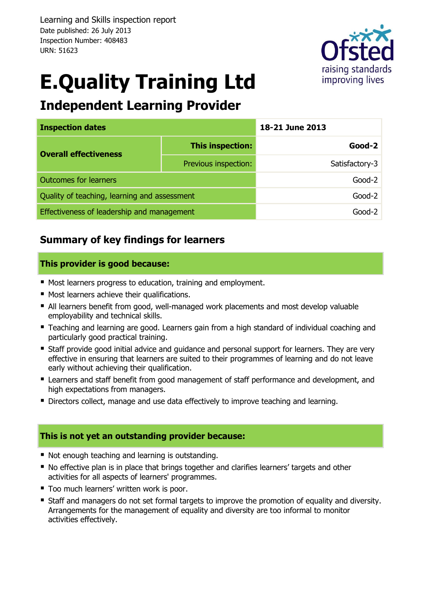Learning and Skills inspection report Date published: 26 July 2013 Inspection Number: 408483 URN: 51623



# **E.Quality Training Ltd**

# **Independent Learning Provider**

| <b>Inspection dates</b>                      |                      | 18-21 June 2013 |  |  |
|----------------------------------------------|----------------------|-----------------|--|--|
| <b>Overall effectiveness</b>                 | This inspection:     | $Good-2$        |  |  |
|                                              | Previous inspection: | Satisfactory-3  |  |  |
| <b>Outcomes for learners</b>                 |                      | $Good-2$        |  |  |
| Quality of teaching, learning and assessment |                      | $Good-2$        |  |  |
| Effectiveness of leadership and management   |                      | Good-2          |  |  |

## **Summary of key findings for learners**

#### **This provider is good because:**

- **Most learners progress to education, training and employment.**
- Most learners achieve their qualifications.
- All learners benefit from good, well-managed work placements and most develop valuable employability and technical skills.
- **Teaching and learning are good. Learners gain from a high standard of individual coaching and** particularly good practical training.
- **Staff provide good initial advice and guidance and personal support for learners. They are very** effective in ensuring that learners are suited to their programmes of learning and do not leave early without achieving their qualification.
- **E** Learners and staff benefit from good management of staff performance and development, and high expectations from managers.
- Directors collect, manage and use data effectively to improve teaching and learning.

#### **This is not yet an outstanding provider because:**

- Not enough teaching and learning is outstanding.
- No effective plan is in place that brings together and clarifies learners' targets and other activities for all aspects of learners' programmes.
- Too much learners' written work is poor.
- **Staff and managers do not set formal targets to improve the promotion of equality and diversity.** Arrangements for the management of equality and diversity are too informal to monitor activities effectively.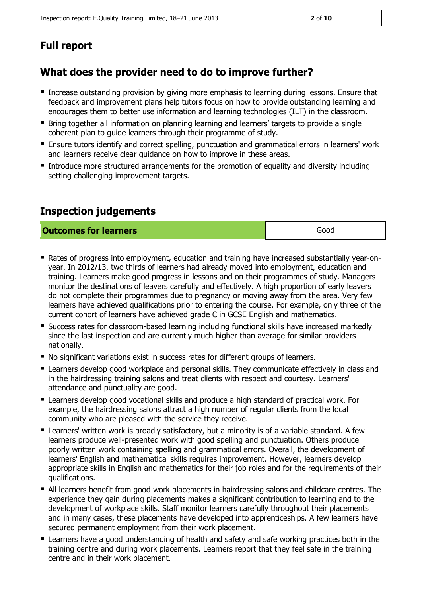# **Full report**

## **What does the provider need to do to improve further?**

- Increase outstanding provision by giving more emphasis to learning during lessons. Ensure that feedback and improvement plans help tutors focus on how to provide outstanding learning and encourages them to better use information and learning technologies (ILT) in the classroom.
- Bring together all information on planning learning and learners' targets to provide a single coherent plan to guide learners through their programme of study.
- Ensure tutors identify and correct spelling, punctuation and grammatical errors in learners' work and learners receive clear guidance on how to improve in these areas.
- Introduce more structured arrangements for the promotion of equality and diversity including setting challenging improvement targets.

## **Inspection judgements**

#### **Outcomes for learners Good**

 Rates of progress into employment, education and training have increased substantially year-onyear. In 2012/13, two thirds of learners had already moved into employment, education and training. Learners make good progress in lessons and on their programmes of study. Managers monitor the destinations of leavers carefully and effectively. A high proportion of early leavers do not complete their programmes due to pregnancy or moving away from the area. Very few learners have achieved qualifications prior to entering the course. For example, only three of the current cohort of learners have achieved grade C in GCSE English and mathematics.

- Success rates for classroom-based learning including functional skills have increased markedly since the last inspection and are currently much higher than average for similar providers nationally.
- No significant variations exist in success rates for different groups of learners.
- **E** Learners develop good workplace and personal skills. They communicate effectively in class and in the hairdressing training salons and treat clients with respect and courtesy. Learners' attendance and punctuality are good.
- Learners develop good vocational skills and produce a high standard of practical work. For example, the hairdressing salons attract a high number of regular clients from the local community who are pleased with the service they receive.
- Learners' written work is broadly satisfactory, but a minority is of a variable standard. A few learners produce well-presented work with good spelling and punctuation. Others produce poorly written work containing spelling and grammatical errors. Overall, the development of learners' English and mathematical skills requires improvement. However, learners develop appropriate skills in English and mathematics for their job roles and for the requirements of their qualifications.
- All learners benefit from good work placements in hairdressing salons and childcare centres. The experience they gain during placements makes a significant contribution to learning and to the development of workplace skills. Staff monitor learners carefully throughout their placements and in many cases, these placements have developed into apprenticeships. A few learners have secured permanent employment from their work placement.
- **E** Learners have a good understanding of health and safety and safe working practices both in the training centre and during work placements. Learners report that they feel safe in the training centre and in their work placement.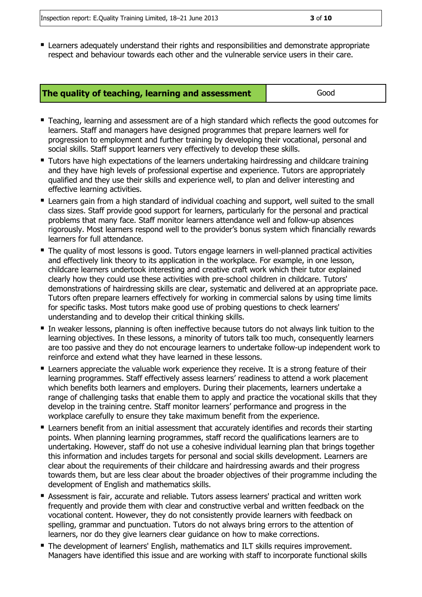Learners adequately understand their rights and responsibilities and demonstrate appropriate respect and behaviour towards each other and the vulnerable service users in their care.

- Teaching, learning and assessment are of a high standard which reflects the good outcomes for learners. Staff and managers have designed programmes that prepare learners well for progression to employment and further training by developing their vocational, personal and social skills. Staff support learners very effectively to develop these skills.
- **Tutors have high expectations of the learners undertaking hairdressing and childcare training** and they have high levels of professional expertise and experience. Tutors are appropriately qualified and they use their skills and experience well, to plan and deliver interesting and effective learning activities.
- Learners gain from a high standard of individual coaching and support, well suited to the small class sizes. Staff provide good support for learners, particularly for the personal and practical problems that many face. Staff monitor learners attendance well and follow-up absences rigorously. Most learners respond well to the provider's bonus system which financially rewards learners for full attendance.
- The quality of most lessons is good. Tutors engage learners in well-planned practical activities and effectively link theory to its application in the workplace. For example, in one lesson, childcare learners undertook interesting and creative craft work which their tutor explained clearly how they could use these activities with pre-school children in childcare. Tutors' demonstrations of hairdressing skills are clear, systematic and delivered at an appropriate pace. Tutors often prepare learners effectively for working in commercial salons by using time limits for specific tasks. Most tutors make good use of probing questions to check learners' understanding and to develop their critical thinking skills.
- In weaker lessons, planning is often ineffective because tutors do not always link tuition to the learning objectives. In these lessons, a minority of tutors talk too much, consequently learners are too passive and they do not encourage learners to undertake follow-up independent work to reinforce and extend what they have learned in these lessons.
- **E** Learners appreciate the valuable work experience they receive. It is a strong feature of their learning programmes. Staff effectively assess learners' readiness to attend a work placement which benefits both learners and employers. During their placements, learners undertake a range of challenging tasks that enable them to apply and practice the vocational skills that they develop in the training centre. Staff monitor learners' performance and progress in the workplace carefully to ensure they take maximum benefit from the experience.
- **E** Learners benefit from an initial assessment that accurately identifies and records their starting points. When planning learning programmes, staff record the qualifications learners are to undertaking. However, staff do not use a cohesive individual learning plan that brings together this information and includes targets for personal and social skills development. Learners are clear about the requirements of their childcare and hairdressing awards and their progress towards them, but are less clear about the broader objectives of their programme including the development of English and mathematics skills.
- Assessment is fair, accurate and reliable. Tutors assess learners' practical and written work frequently and provide them with clear and constructive verbal and written feedback on the vocational content. However, they do not consistently provide learners with feedback on spelling, grammar and punctuation. Tutors do not always bring errors to the attention of learners, nor do they give learners clear guidance on how to make corrections.
- **The development of learners' English, mathematics and ILT skills requires improvement.** Managers have identified this issue and are working with staff to incorporate functional skills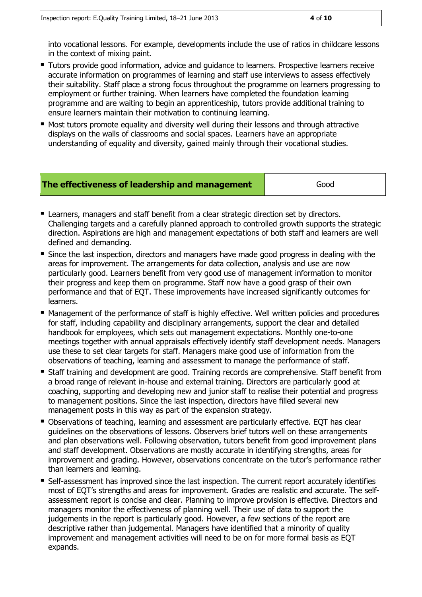into vocational lessons. For example, developments include the use of ratios in childcare lessons in the context of mixing paint.

- **Tutors provide good information, advice and guidance to learners. Prospective learners receive** accurate information on programmes of learning and staff use interviews to assess effectively their suitability. Staff place a strong focus throughout the programme on learners progressing to employment or further training. When learners have completed the foundation learning programme and are waiting to begin an apprenticeship, tutors provide additional training to ensure learners maintain their motivation to continuing learning.
- Most tutors promote equality and diversity well during their lessons and through attractive displays on the walls of classrooms and social spaces. Learners have an appropriate understanding of equality and diversity, gained mainly through their vocational studies.

| The effectiveness of leadership and management | Good |
|------------------------------------------------|------|
|                                                |      |

- **E** Learners, managers and staff benefit from a clear strategic direction set by directors. Challenging targets and a carefully planned approach to controlled growth supports the strategic direction. Aspirations are high and management expectations of both staff and learners are well defined and demanding.
- Since the last inspection, directors and managers have made good progress in dealing with the areas for improvement. The arrangements for data collection, analysis and use are now particularly good. Learners benefit from very good use of management information to monitor their progress and keep them on programme. Staff now have a good grasp of their own performance and that of EQT. These improvements have increased significantly outcomes for learners.
- Management of the performance of staff is highly effective. Well written policies and procedures for staff, including capability and disciplinary arrangements, support the clear and detailed handbook for employees, which sets out management expectations. Monthly one-to-one meetings together with annual appraisals effectively identify staff development needs. Managers use these to set clear targets for staff. Managers make good use of information from the observations of teaching, learning and assessment to manage the performance of staff.
- Staff training and development are good. Training records are comprehensive. Staff benefit from a broad range of relevant in-house and external training. Directors are particularly good at coaching, supporting and developing new and junior staff to realise their potential and progress to management positions. Since the last inspection, directors have filled several new management posts in this way as part of the expansion strategy.
- Observations of teaching, learning and assessment are particularly effective. EQT has clear guidelines on the observations of lessons. Observers brief tutors well on these arrangements and plan observations well. Following observation, tutors benefit from good improvement plans and staff development. Observations are mostly accurate in identifying strengths, areas for improvement and grading. However, observations concentrate on the tutor's performance rather than learners and learning.
- Self-assessment has improved since the last inspection. The current report accurately identifies most of EQT's strengths and areas for improvement. Grades are realistic and accurate. The selfassessment report is concise and clear. Planning to improve provision is effective. Directors and managers monitor the effectiveness of planning well. Their use of data to support the judgements in the report is particularly good. However, a few sections of the report are descriptive rather than judgemental. Managers have identified that a minority of quality improvement and management activities will need to be on for more formal basis as EQT expands.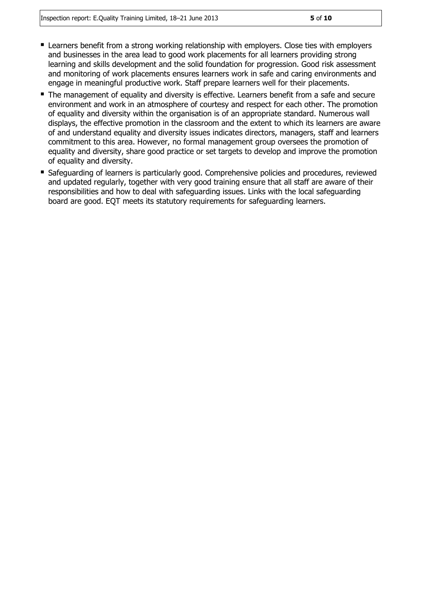- Learners benefit from a strong working relationship with employers. Close ties with employers and businesses in the area lead to good work placements for all learners providing strong learning and skills development and the solid foundation for progression. Good risk assessment and monitoring of work placements ensures learners work in safe and caring environments and engage in meaningful productive work. Staff prepare learners well for their placements.
- The management of equality and diversity is effective. Learners benefit from a safe and secure environment and work in an atmosphere of courtesy and respect for each other. The promotion of equality and diversity within the organisation is of an appropriate standard. Numerous wall displays, the effective promotion in the classroom and the extent to which its learners are aware of and understand equality and diversity issues indicates directors, managers, staff and learners commitment to this area. However, no formal management group oversees the promotion of equality and diversity, share good practice or set targets to develop and improve the promotion of equality and diversity.
- Safeguarding of learners is particularly good. Comprehensive policies and procedures, reviewed and updated regularly, together with very good training ensure that all staff are aware of their responsibilities and how to deal with safeguarding issues. Links with the local safeguarding board are good. EQT meets its statutory requirements for safeguarding learners.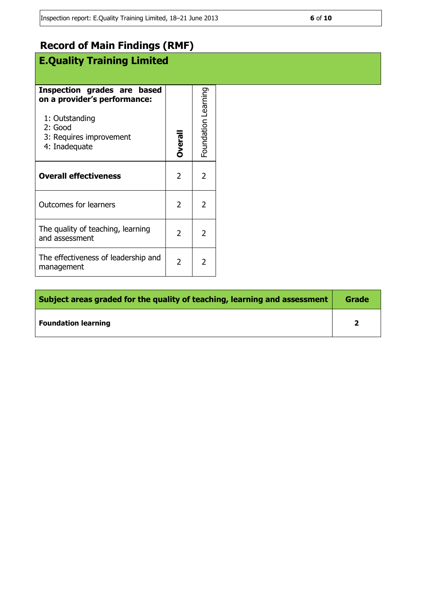# **E.Quality Training Limited**

| Inspection grades are based<br>on a provider's performance:<br>1: Outstanding<br>2: Good<br>3: Requires improvement<br>4: Inadequate | <b>Overal</b>  | Foundation Learning |  |
|--------------------------------------------------------------------------------------------------------------------------------------|----------------|---------------------|--|
| <b>Overall effectiveness</b>                                                                                                         | 2              | 2                   |  |
| <b>Outcomes for learners</b>                                                                                                         | 2              | 2                   |  |
| The quality of teaching, learning<br>and assessment                                                                                  | $\mathfrak{p}$ | 2                   |  |
| The effectiveness of leadership and<br>management                                                                                    | 2              | 2                   |  |

| Subject areas graded for the quality of teaching, learning and assessment |  |
|---------------------------------------------------------------------------|--|
| <b>Foundation learning</b>                                                |  |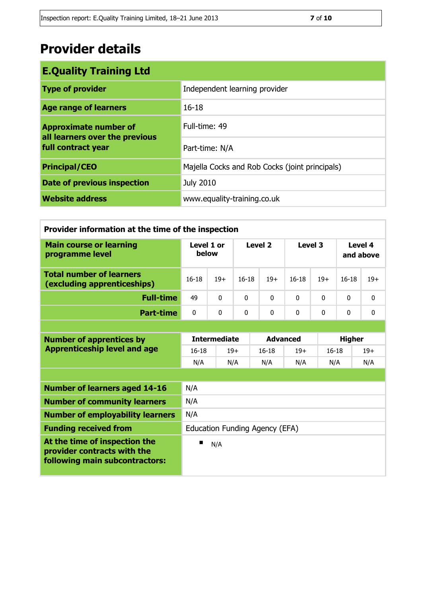| <b>E.Quality Training Ltd</b>                                                        |                                                |  |  |
|--------------------------------------------------------------------------------------|------------------------------------------------|--|--|
| <b>Type of provider</b>                                                              | Independent learning provider                  |  |  |
| <b>Age range of learners</b>                                                         | $16 - 18$                                      |  |  |
| <b>Approximate number of</b><br>all learners over the previous<br>full contract year | Full-time: 49                                  |  |  |
|                                                                                      | Part-time: N/A                                 |  |  |
| <b>Principal/CEO</b>                                                                 | Majella Cocks and Rob Cocks (joint principals) |  |  |
| <b>Date of previous inspection</b>                                                   | <b>July 2010</b>                               |  |  |
| <b>Website address</b>                                                               | www.equality-training.co.uk                    |  |  |

| Provider information at the time of the inspection                                             |                                |          |                    |                 |            |               |                      |              |
|------------------------------------------------------------------------------------------------|--------------------------------|----------|--------------------|-----------------|------------|---------------|----------------------|--------------|
| <b>Main course or learning</b><br>programme level                                              | Level 1 or<br>below            |          | Level <sub>2</sub> |                 | Level 3    |               | Level 4<br>and above |              |
| <b>Total number of learners</b><br>(excluding apprenticeships)                                 | $16 - 18$                      | $19+$    | $16 - 18$          | $19+$           | $16-18$    | $19+$         | $16-18$              | $19+$        |
| <b>Full-time</b>                                                                               | 49                             | $\Omega$ | $\Omega$           | $\mathbf{0}$    | $\Omega$   | $\Omega$      | $\Omega$             | 0            |
| <b>Part-time</b>                                                                               | $\mathbf{0}$                   | $\Omega$ | $\Omega$           | $\Omega$        | $\Omega$   | $\mathbf{0}$  | $\Omega$             | $\mathbf{0}$ |
|                                                                                                |                                |          |                    |                 |            |               |                      |              |
| <b>Number of apprentices by</b>                                                                | <b>Intermediate</b>            |          |                    | <b>Advanced</b> |            | <b>Higher</b> |                      |              |
| <b>Apprenticeship level and age</b>                                                            | $16 - 18$                      | $19+$    |                    | $16 - 18$       | $19+$      | $16 - 18$     |                      | $19+$        |
|                                                                                                | N/A                            |          | N/A<br>N/A         |                 | N/A<br>N/A |               |                      | N/A          |
|                                                                                                |                                |          |                    |                 |            |               |                      |              |
| <b>Number of learners aged 14-16</b>                                                           | N/A                            |          |                    |                 |            |               |                      |              |
| <b>Number of community learners</b>                                                            | N/A                            |          |                    |                 |            |               |                      |              |
| <b>Number of employability learners</b>                                                        | N/A                            |          |                    |                 |            |               |                      |              |
| <b>Funding received from</b>                                                                   | Education Funding Agency (EFA) |          |                    |                 |            |               |                      |              |
| At the time of inspection the<br>provider contracts with the<br>following main subcontractors: | N/A                            |          |                    |                 |            |               |                      |              |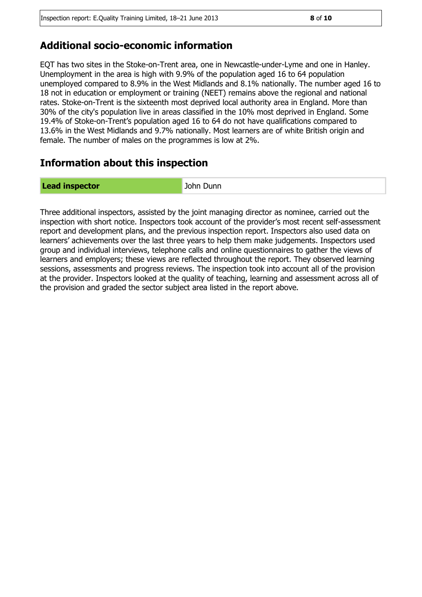#### **Additional socio-economic information**

EQT has two sites in the Stoke-on-Trent area, one in Newcastle-under-Lyme and one in Hanley. Unemployment in the area is high with 9.9% of the population aged 16 to 64 population unemployed compared to 8.9% in the West Midlands and 8.1% nationally. The number aged 16 to 18 not in education or employment or training (NEET) remains above the regional and national rates. Stoke-on-Trent is the sixteenth most deprived local authority area in England. More than 30% of the city's population live in areas classified in the 10% most deprived in England. Some 19.4% of Stoke-on-Trent's population aged 16 to 64 do not have qualifications compared to 13.6% in the West Midlands and 9.7% nationally. Most learners are of white British origin and female. The number of males on the programmes is low at 2%.

#### **Information about this inspection**

**Lead inspector Community Community** John Dunn

Three additional inspectors, assisted by the joint managing director as nominee, carried out the inspection with short notice. Inspectors took account of the provider's most recent self-assessment report and development plans, and the previous inspection report. Inspectors also used data on learners' achievements over the last three years to help them make judgements. Inspectors used group and individual interviews, telephone calls and online questionnaires to gather the views of learners and employers; these views are reflected throughout the report. They observed learning sessions, assessments and progress reviews. The inspection took into account all of the provision at the provider. Inspectors looked at the quality of teaching, learning and assessment across all of the provision and graded the sector subject area listed in the report above.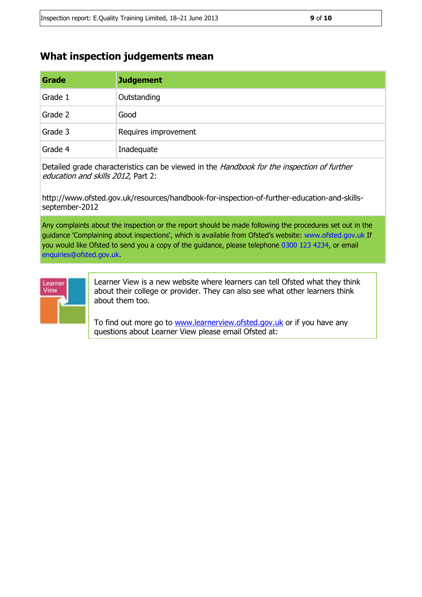#### **What inspection judgements mean**

[learnerview@ofsted.gov.uk](mailto:learnerview@ofsted.gov.uk)

| Grade   | <b>Judgement</b>     |
|---------|----------------------|
| Grade 1 | Outstanding          |
| Grade 2 | Good                 |
| Grade 3 | Requires improvement |
| Grade 4 | Inadequate           |

Detailed grade characteristics can be viewed in the Handbook for the inspection of further education and skills 2012, Part 2:

http://www.ofsted.gov.uk/resources/handbook-for-inspection-of-further-education-and-skillsseptember-2012

Any complaints about the inspection or the report should be made following the procedures set out in the guidance 'Complaining about inspections', which is available from Ofsted's website: www.ofsted.gov.uk If you would like Ofsted to send you a copy of the guidance, please telephone 0300 123 4234, or email enquiries@ofsted.gov.uk.



Learner View is a new website where learners can tell Ofsted what they think about their college or provider. They can also see what other learners think about them too.

To find out more go to [www.learnerview.ofsted.gov.uk](http://www.learnerview.ofsted.gov.uk/) or if you have any questions about Learner View please email Ofsted at: